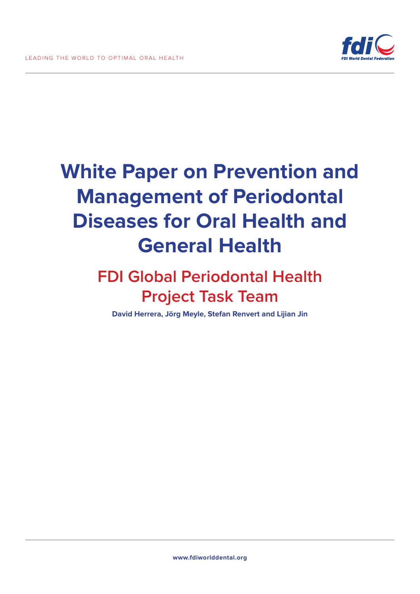

# **White Paper on Prevention and Management of Periodontal Diseases for Oral Health and General Health**

### **FDI Global Periodontal Health Project Task Team**

**David Herrera, Jörg Meyle, Stefan Renvert and Lijian Jin**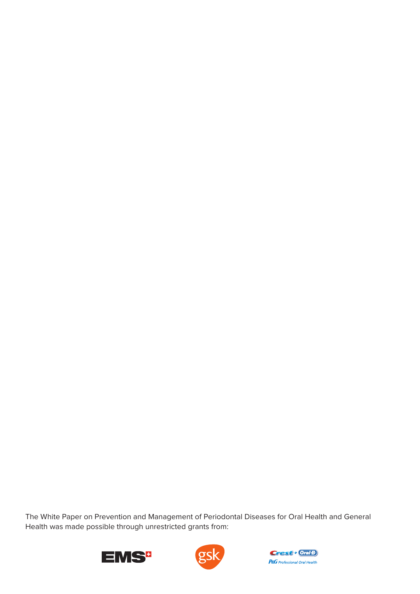The White Paper on Prevention and Management of Periodontal Diseases for Oral Health and General Health was made possible through unrestricted grants from:





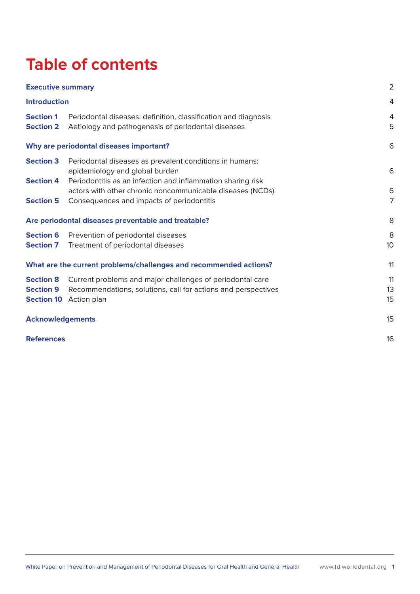## **Table of contents**

| <b>Executive summary</b><br><b>Introduction</b>           |                                                                                                                                                          | $\overline{2}$ |
|-----------------------------------------------------------|----------------------------------------------------------------------------------------------------------------------------------------------------------|----------------|
|                                                           |                                                                                                                                                          | 4              |
| <b>Section 1</b><br><b>Section 2</b>                      | Periodontal diseases: definition, classification and diagnosis<br>Aetiology and pathogenesis of periodontal diseases                                     | 4<br>5         |
|                                                           | Why are periodontal diseases important?                                                                                                                  | 6              |
| <b>Section 3</b><br><b>Section 4</b>                      | Periodontal diseases as prevalent conditions in humans:<br>epidemiology and global burden<br>Periodontitis as an infection and inflammation sharing risk | 6              |
| <b>Section 5</b>                                          | actors with other chronic noncommunicable diseases (NCDs)<br>Consequences and impacts of periodontitis                                                   | 6<br>7         |
| Are periodontal diseases preventable and treatable?       |                                                                                                                                                          | 8              |
| <b>Section 6</b><br><b>Section 7</b>                      | Prevention of periodontal diseases<br>Treatment of periodontal diseases                                                                                  | 8<br>10        |
|                                                           | What are the current problems/challenges and recommended actions?                                                                                        | 11             |
| <b>Section 8</b><br><b>Section 9</b><br><b>Section 10</b> | Current problems and major challenges of periodontal care<br>Recommendations, solutions, call for actions and perspectives<br>Action plan                | 11<br>13<br>15 |
| <b>Acknowledgements</b>                                   |                                                                                                                                                          | 15             |
| <b>References</b>                                         |                                                                                                                                                          | 16             |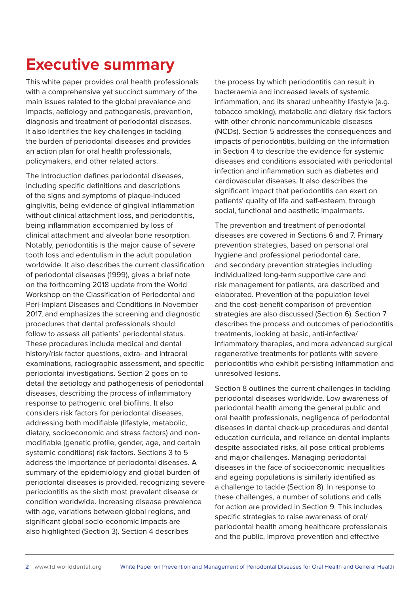## **Executive summary**

This white paper provides oral health professionals with a comprehensive yet succinct summary of the main issues related to the global prevalence and impacts, aetiology and pathogenesis, prevention, diagnosis and treatment of periodontal diseases. It also identifies the key challenges in tackling the burden of periodontal diseases and provides an action plan for oral health professionals, policymakers, and other related actors.

The Introduction defines periodontal diseases, including specific definitions and descriptions of the signs and symptoms of plaque-induced gingivitis, being evidence of gingival inflammation without clinical attachment loss, and periodontitis, being inflammation accompanied by loss of clinical attachment and alveolar bone resorption. Notably, periodontitis is the major cause of severe tooth loss and edentulism in the adult population worldwide. It also describes the current classification of periodontal diseases (1999), gives a brief note on the forthcoming 2018 update from the World Workshop on the Classification of Periodontal and Peri-Implant Diseases and Conditions in November 2017, and emphasizes the screening and diagnostic procedures that dental professionals should follow to assess all patients' periodontal status. These procedures include medical and dental history/risk factor questions, extra- and intraoral examinations, radiographic assessment, and specific periodontal investigations. Section 2 goes on to detail the aetiology and pathogenesis of periodontal diseases, describing the process of inflammatory response to pathogenic oral biofilms. It also considers risk factors for periodontal diseases, addressing both modifiable (lifestyle, metabolic, dietary, socioeconomic and stress factors) and nonmodifiable (genetic profile, gender, age, and certain systemic conditions) risk factors. Sections 3 to 5 address the importance of periodontal diseases. A summary of the epidemiology and global burden of periodontal diseases is provided, recognizing severe periodontitis as the sixth most prevalent disease or condition worldwide. Increasing disease prevalence with age, variations between global regions, and significant global socio-economic impacts are also highlighted (Section 3). Section 4 describes

the process by which periodontitis can result in bacteraemia and increased levels of systemic inflammation, and its shared unhealthy lifestyle (e.g. tobacco smoking), metabolic and dietary risk factors with other chronic noncommunicable diseases (NCDs). Section 5 addresses the consequences and impacts of periodontitis, building on the information in Section 4 to describe the evidence for systemic diseases and conditions associated with periodontal infection and inflammation such as diabetes and cardiovascular diseases. It also describes the significant impact that periodontitis can exert on patients' quality of life and self-esteem, through social, functional and aesthetic impairments.

The prevention and treatment of periodontal diseases are covered in Sections 6 and 7. Primary prevention strategies, based on personal oral hygiene and professional periodontal care, and secondary prevention strategies including individualized long-term supportive care and risk management for patients, are described and elaborated. Prevention at the population level and the cost-benefit comparison of prevention strategies are also discussed (Section 6). Section 7 describes the process and outcomes of periodontitis treatments, looking at basic, anti-infective/ inflammatory therapies, and more advanced surgical regenerative treatments for patients with severe periodontitis who exhibit persisting inflammation and unresolved lesions.

Section 8 outlines the current challenges in tackling periodontal diseases worldwide. Low awareness of periodontal health among the general public and oral health professionals, negligence of periodontal diseases in dental check-up procedures and dental education curricula, and reliance on dental implants despite associated risks, all pose critical problems and major challenges. Managing periodontal diseases in the face of socioeconomic inequalities and ageing populations is similarly identified as a challenge to tackle (Section 8). In response to these challenges, a number of solutions and calls for action are provided in Section 9. This includes specific strategies to raise awareness of oral/ periodontal health among healthcare professionals and the public, improve prevention and effective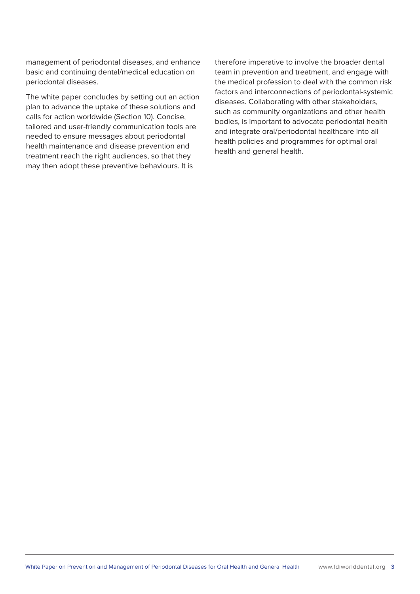management of periodontal diseases, and enhance basic and continuing dental/medical education on periodontal diseases.

The white paper concludes by setting out an action plan to advance the uptake of these solutions and calls for action worldwide (Section 10). Concise, tailored and user-friendly communication tools are needed to ensure messages about periodontal health maintenance and disease prevention and treatment reach the right audiences, so that they may then adopt these preventive behaviours. It is

therefore imperative to involve the broader dental team in prevention and treatment, and engage with the medical profession to deal with the common risk factors and interconnections of periodontal-systemic diseases. Collaborating with other stakeholders, such as community organizations and other health bodies, is important to advocate periodontal health and integrate oral/periodontal healthcare into all health policies and programmes for optimal oral health and general health.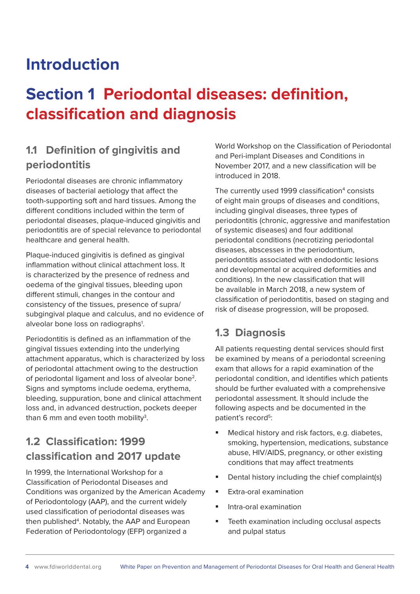### **Introduction**

## **Section 1 Periodontal diseases: definition, classification and diagnosis**

### **1.1 Definition of gingivitis and periodontitis**

Periodontal diseases are chronic inflammatory diseases of bacterial aetiology that affect the tooth-supporting soft and hard tissues. Among the different conditions included within the term of periodontal diseases, plaque-induced gingivitis and periodontitis are of special relevance to periodontal healthcare and general health.

Plaque-induced gingivitis is defined as gingival inflammation without clinical attachment loss. It is characterized by the presence of redness and oedema of the gingival tissues, bleeding upon different stimuli, changes in the contour and consistency of the tissues, presence of supra/ subgingival plaque and calculus, and no evidence of alveolar bone loss on radiographs<sup>1</sup>.

Periodontitis is defined as an inflammation of the gingival tissues extending into the underlying attachment apparatus, which is characterized by loss of periodontal attachment owing to the destruction of periodontal ligament and loss of alveolar bone2. Signs and symptoms include oedema, erythema, bleeding, suppuration, bone and clinical attachment loss and, in advanced destruction, pockets deeper than 6 mm and even tooth mobility $^3$ .

### **1.2 Classification: 1999 classification and 2017 update**

In 1999, the International Workshop for a Classification of Periodontal Diseases and Conditions was organized by the American Academy of Periodontology (AAP), and the current widely used classification of periodontal diseases was then published<sup>4</sup>. Notably, the AAP and European Federation of Periodontology (EFP) organized a

World Workshop on the Classification of Periodontal and Peri-implant Diseases and Conditions in November 2017, and a new classification will be introduced in 2018.

The currently used 1999 classification<sup>4</sup> consists of eight main groups of diseases and conditions, including gingival diseases, three types of periodontitis (chronic, aggressive and manifestation of systemic diseases) and four additional periodontal conditions (necrotizing periodontal diseases, abscesses in the periodontium, periodontitis associated with endodontic lesions and developmental or acquired deformities and conditions). In the new classification that will be available in March 2018, a new system of classification of periodontitis, based on staging and risk of disease progression, will be proposed.

#### **1.3 Diagnosis**

All patients requesting dental services should first be examined by means of a periodontal screening exam that allows for a rapid examination of the periodontal condition, and identifies which patients should be further evaluated with a comprehensive periodontal assessment. It should include the following aspects and be documented in the patient's record<sup>5</sup>:

- **Medical history and risk factors, e.g. diabetes,** smoking, hypertension, medications, substance abuse, HIV/AIDS, pregnancy, or other existing conditions that may affect treatments
- Dental history including the chief complaint(s)
- **Extra-oral examination**
- $\blacksquare$  Intra-oral examination
- **Teeth examination including occlusal aspects** and pulpal status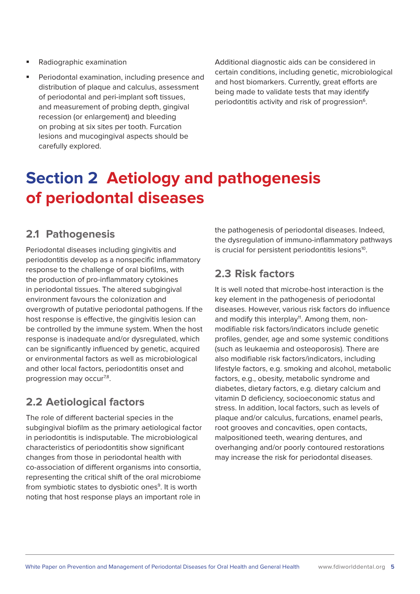Periodontal examination, including presence and distribution of plaque and calculus, assessment of periodontal and peri-implant soft tissues, and measurement of probing depth, gingival recession (or enlargement) and bleeding on probing at six sites per tooth. Furcation lesions and mucogingival aspects should be carefully explored.

Additional diagnostic aids can be considered in certain conditions, including genetic, microbiological and host biomarkers. Currently, great efforts are being made to validate tests that may identify periodontitis activity and risk of progression<sup>6</sup>.

## **Section 2 Aetiology and pathogenesis of periodontal diseases**

### **2.1 Pathogenesis**

Periodontal diseases including gingivitis and periodontitis develop as a nonspecific inflammatory response to the challenge of oral biofilms, with the production of pro-inflammatory cytokines in periodontal tissues. The altered subgingival environment favours the colonization and overgrowth of putative periodontal pathogens. If the host response is effective, the gingivitis lesion can be controlled by the immune system. When the host response is inadequate and/or dysregulated, which can be significantly influenced by genetic, acquired or environmental factors as well as microbiological and other local factors, periodontitis onset and progression may occur<sup>7,8</sup>.

### **2.2 Aetiological factors**

The role of different bacterial species in the subgingival biofilm as the primary aetiological factor in periodontitis is indisputable. The microbiological characteristics of periodontitis show significant changes from those in periodontal health with co-association of different organisms into consortia, representing the critical shift of the oral microbiome from symbiotic states to dysbiotic ones<sup>9</sup>. It is worth noting that host response plays an important role in

the pathogenesis of periodontal diseases. Indeed, the dysregulation of immuno-inflammatory pathways is crucial for persistent periodontitis lesions<sup>10</sup>.

#### **2.3 Risk factors**

It is well noted that microbe-host interaction is the key element in the pathogenesis of periodontal diseases. However, various risk factors do influence and modify this interplay<sup>11</sup>. Among them, nonmodifiable risk factors/indicators include genetic profiles, gender, age and some systemic conditions (such as leukaemia and osteoporosis). There are also modifiable risk factors/indicators, including lifestyle factors, e.g. smoking and alcohol, metabolic factors, e.g., obesity, metabolic syndrome and diabetes, dietary factors, e.g. dietary calcium and vitamin D deficiency, socioeconomic status and stress. In addition, local factors, such as levels of plaque and/or calculus, furcations, enamel pearls, root grooves and concavities, open contacts, malpositioned teeth, wearing dentures, and overhanging and/or poorly contoured restorations may increase the risk for periodontal diseases.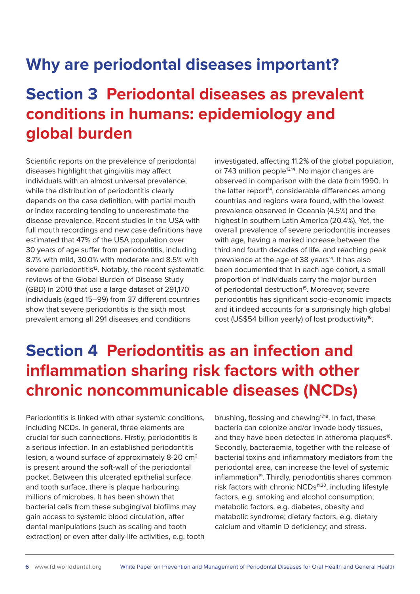### **Why are periodontal diseases important?**

## **Section 3 Periodontal diseases as prevalent conditions in humans: epidemiology and global burden**

Scientific reports on the prevalence of periodontal diseases highlight that gingivitis may affect individuals with an almost universal prevalence, while the distribution of periodontitis clearly depends on the case definition, with partial mouth or index recording tending to underestimate the disease prevalence. Recent studies in the USA with full mouth recordings and new case definitions have estimated that 47% of the USA population over 30 years of age suffer from periodontitis, including 8.7% with mild, 30.0% with moderate and 8.5% with severe periodontitis<sup>12</sup>. Notably, the recent systematic reviews of the Global Burden of Disease Study (GBD) in 2010 that use a large dataset of 291,170 individuals (aged 15–99) from 37 different countries show that severe periodontitis is the sixth most prevalent among all 291 diseases and conditions

investigated, affecting 11.2% of the global population, or 743 million people<sup>13,14</sup>. No major changes are observed in comparison with the data from 1990. In the latter report<sup>14</sup>, considerable differences among countries and regions were found, with the lowest prevalence observed in Oceania (4.5%) and the highest in southern Latin America (20.4%). Yet, the overall prevalence of severe periodontitis increases with age, having a marked increase between the third and fourth decades of life, and reaching peak prevalence at the age of 38 years<sup>14</sup>. It has also been documented that in each age cohort, a small proportion of individuals carry the major burden of periodontal destruction<sup>15</sup>. Moreover, severe periodontitis has significant socio-economic impacts and it indeed accounts for a surprisingly high global cost (US\$54 billion yearly) of lost productivity<sup>16</sup>.

## **Section 4 Periodontitis as an infection and inflammation sharing risk factors with other chronic noncommunicable diseases (NCDs)**

Periodontitis is linked with other systemic conditions, including NCDs. In general, three elements are crucial for such connections. Firstly, periodontitis is a serious infection. In an established periodontitis lesion, a wound surface of approximately 8-20 cm2 is present around the soft-wall of the periodontal pocket. Between this ulcerated epithelial surface and tooth surface, there is plaque harbouring millions of microbes. It has been shown that bacterial cells from these subgingival biofilms may gain access to systemic blood circulation, after dental manipulations (such as scaling and tooth extraction) or even after daily-life activities, e.g. tooth

brushing, flossing and chewing<sup>17,18</sup>. In fact, these bacteria can colonize and/or invade body tissues, and they have been detected in atheroma plaques<sup>18</sup>. Secondly, bacteraemia, together with the release of bacterial toxins and inflammatory mediators from the periodontal area, can increase the level of systemic inflammation<sup>19</sup>. Thirdly, periodontitis shares common risk factors with chronic NCDs<sup>11,20</sup>, including lifestyle factors, e.g. smoking and alcohol consumption; metabolic factors, e.g. diabetes, obesity and metabolic syndrome; dietary factors, e.g. dietary calcium and vitamin D deficiency; and stress.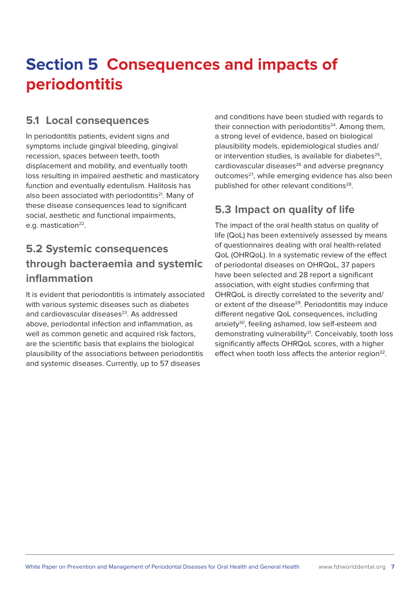## **Section 5 Consequences and impacts of periodontitis**

#### **5.1 Local consequences**

In periodontitis patients, evident signs and symptoms include gingival bleeding, gingival recession, spaces between teeth, tooth displacement and mobility, and eventually tooth loss resulting in impaired aesthetic and masticatory function and eventually edentulism. Halitosis has also been associated with periodontitis<sup>21</sup>. Many of these disease consequences lead to significant social, aesthetic and functional impairments, e.g. mastication<sup>22</sup>.

### **5.2 Systemic consequences through bacteraemia and systemic inflammation**

It is evident that periodontitis is intimately associated with various systemic diseases such as diabetes and cardiovascular diseases<sup>23</sup>. As addressed above, periodontal infection and inflammation, as well as common genetic and acquired risk factors, are the scientific basis that explains the biological plausibility of the associations between periodontitis and systemic diseases. Currently, up to 57 diseases

and conditions have been studied with regards to their connection with periodontitis $24$ . Among them, a strong level of evidence, based on biological plausibility models, epidemiological studies and/ or intervention studies, is available for diabetes $25$ , cardiovascular diseases<sup>26</sup> and adverse pregnancy outcomes<sup>27</sup>, while emerging evidence has also been published for other relevant conditions<sup>28</sup>.

#### **5.3 Impact on quality of life**

The impact of the oral health status on quality of life (QoL) has been extensively assessed by means of questionnaires dealing with oral health-related QoL (OHRQoL). In a systematic review of the effect of periodontal diseases on OHRQoL, 37 papers have been selected and 28 report a significant association, with eight studies confirming that OHRQoL is directly correlated to the severity and/ or extent of the disease<sup>29</sup>. Periodontitis may induce different negative QoL consequences, including anxiety<sup>30</sup>, feeling ashamed, low self-esteem and demonstrating vulnerability<sup>31</sup>. Conceivably, tooth loss significantly affects OHRQoL scores, with a higher effect when tooth loss affects the anterior region $32$ .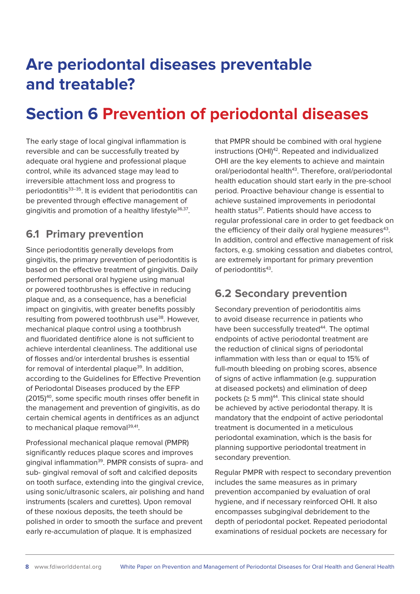## **Are periodontal diseases preventable and treatable?**

## **Section 6 Prevention of periodontal diseases**

The early stage of local gingival inflammation is reversible and can be successfully treated by adequate oral hygiene and professional plaque control, while its advanced stage may lead to irreversible attachment loss and progress to periodontitis<sup>33-35</sup>. It is evident that periodontitis can be prevented through effective management of gingivitis and promotion of a healthy lifestyle<sup>36,37</sup>.

#### **6.1 Primary prevention**

Since periodontitis generally develops from gingivitis, the primary prevention of periodontitis is based on the effective treatment of gingivitis. Daily performed personal oral hygiene using manual or powered toothbrushes is effective in reducing plaque and, as a consequence, has a beneficial impact on gingivitis, with greater benefits possibly resulting from powered toothbrush use<sup>38</sup>. However, mechanical plaque control using a toothbrush and fluoridated dentifrice alone is not sufficient to achieve interdental cleanliness. The additional use of flosses and/or interdental brushes is essential for removal of interdental plaque<sup>39</sup>. In addition, according to the Guidelines for Effective Prevention of Periodontal Diseases produced by the EFP (2015)40, some specific mouth rinses offer benefit in the management and prevention of gingivitis, as do certain chemical agents in dentifrices as an adjunct to mechanical plaque removal<sup>39,41</sup>.

Professional mechanical plaque removal (PMPR) significantly reduces plaque scores and improves gingival inflammation<sup>39</sup>. PMPR consists of supra- and sub- gingival removal of soft and calcified deposits on tooth surface, extending into the gingival crevice, using sonic/ultrasonic scalers, air polishing and hand instruments (scalers and curettes). Upon removal of these noxious deposits, the teeth should be polished in order to smooth the surface and prevent early re-accumulation of plaque. It is emphasized

that PMPR should be combined with oral hygiene instructions (OHI)<sup>42</sup>. Repeated and individualized OHI are the key elements to achieve and maintain oral/periodontal health<sup>43</sup>. Therefore, oral/periodontal health education should start early in the pre-school period. Proactive behaviour change is essential to achieve sustained improvements in periodontal health status<sup>37</sup>. Patients should have access to regular professional care in order to get feedback on the efficiency of their daily oral hygiene measures<sup>43</sup>. In addition, control and effective management of risk factors, e.g. smoking cessation and diabetes control, are extremely important for primary prevention of periodontitis<sup>43</sup>.

### **6.2 Secondary prevention**

Secondary prevention of periodontitis aims to avoid disease recurrence in patients who have been successfully treated<sup>44</sup>. The optimal endpoints of active periodontal treatment are the reduction of clinical signs of periodontal inflammation with less than or equal to 15% of full-mouth bleeding on probing scores, absence of signs of active inflammation (e.g. suppuration at diseased pockets) and elimination of deep pockets  $(≥ 5$  mm $)^{44}$ . This clinical state should be achieved by active periodontal therapy. It is mandatory that the endpoint of active periodontal treatment is documented in a meticulous periodontal examination, which is the basis for planning supportive periodontal treatment in secondary prevention.

Regular PMPR with respect to secondary prevention includes the same measures as in primary prevention accompanied by evaluation of oral hygiene, and if necessary reinforced OHI. It also encompasses subgingival debridement to the depth of periodontal pocket. Repeated periodontal examinations of residual pockets are necessary for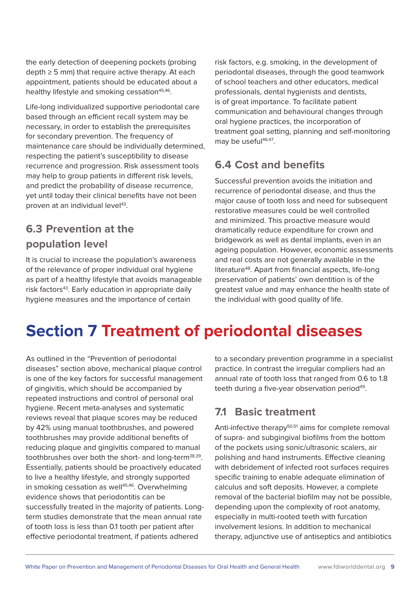the early detection of deepening pockets (probing  $depth \geq 5$  mm) that require active therapy. At each appointment, patients should be educated about a healthy lifestyle and smoking cessation<sup>45,46</sup>.

Life-long individualized supportive periodontal care based through an efficient recall system may be necessary, in order to establish the prerequisites for secondary prevention. The frequency of maintenance care should be individually determined, respecting the patient's susceptibility to disease recurrence and progression. Risk assessment tools may help to group patients in different risk levels. and predict the probability of disease recurrence, yet until today their clinical benefits have not been proven at an individual level<sup>43</sup>.

### **6.3 Prevention at the population level**

It is crucial to increase the population's awareness of the relevance of proper individual oral hygiene as part of a healthy lifestyle that avoids manageable risk factors<sup>43</sup>. Early education in appropriate daily hygiene measures and the importance of certain

risk factors, e.g. smoking, in the development of periodontal diseases, through the good teamwork of school teachers and other educators, medical professionals, dental hygienists and dentists, is of great importance. To facilitate patient communication and behavioural changes through oral hygiene practices, the incorporation of treatment goal setting, planning and self-monitoring may be useful<sup>46,47</sup>.

### **6.4 Cost and benefits**

Successful prevention avoids the initiation and recurrence of periodontal disease, and thus the major cause of tooth loss and need for subsequent restorative measures could be well controlled and minimized. This proactive measure would dramatically reduce expenditure for crown and bridgework as well as dental implants, even in an ageing population. However, economic assessments and real costs are not generally available in the literature<sup>48</sup>. Apart from financial aspects, life-long preservation of patients' own dentition is of the greatest value and may enhance the health state of the individual with good quality of life.

## **Section 7 Treatment of periodontal diseases**

As outlined in the "Prevention of periodontal diseases" section above, mechanical plaque control is one of the key factors for successful management of gingivitis, which should be accompanied by repeated instructions and control of personal oral hygiene. Recent meta-analyses and systematic reviews reveal that plaque scores may be reduced by 42% using manual toothbrushes, and powered toothbrushes may provide additional benefits of reducing plaque and gingivitis compared to manual toothbrushes over both the short- and long-term38,39. Essentially, patients should be proactively educated to live a healthy lifestyle, and strongly supported in smoking cessation as well<sup>45,46</sup>. Overwhelming evidence shows that periodontitis can be successfully treated in the majority of patients. Longterm studies demonstrate that the mean annual rate of tooth loss is less than 0.1 tooth per patient after effective periodontal treatment, if patients adhered

to a secondary prevention programme in a specialist practice. In contrast the irregular compliers had an annual rate of tooth loss that ranged from 0.6 to 1.8 teeth during a five-year observation period<sup>49</sup>.

### **7.1 Basic treatment**

Anti-infective therapy<sup>50,51</sup> aims for complete removal of supra- and subgingival biofilms from the bottom of the pockets using sonic/ultrasonic scalers, air polishing and hand instruments. Effective cleaning with debridement of infected root surfaces requires specific training to enable adequate elimination of calculus and soft deposits. However, a complete removal of the bacterial biofilm may not be possible, depending upon the complexity of root anatomy, especially in multi-rooted teeth with furcation involvement lesions. In addition to mechanical therapy, adjunctive use of antiseptics and antibiotics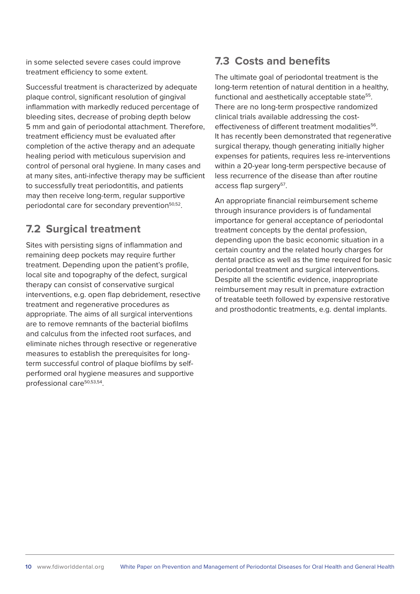in some selected severe cases could improve treatment efficiency to some extent.

Successful treatment is characterized by adequate plaque control, significant resolution of gingival inflammation with markedly reduced percentage of bleeding sites, decrease of probing depth below 5 mm and gain of periodontal attachment. Therefore, treatment efficiency must be evaluated after completion of the active therapy and an adequate healing period with meticulous supervision and control of personal oral hygiene. In many cases and at many sites, anti-infective therapy may be sufficient to successfully treat periodontitis, and patients may then receive long-term, regular supportive periodontal care for secondary prevention<sup>50,52</sup>.

#### **7.2 Surgical treatment**

Sites with persisting signs of inflammation and remaining deep pockets may require further treatment. Depending upon the patient's profile, local site and topography of the defect, surgical therapy can consist of conservative surgical interventions, e.g. open flap debridement, resective treatment and regenerative procedures as appropriate. The aims of all surgical interventions are to remove remnants of the bacterial biofilms and calculus from the infected root surfaces, and eliminate niches through resective or regenerative measures to establish the prerequisites for longterm successful control of plaque biofilms by selfperformed oral hygiene measures and supportive professional care<sup>50,53,54</sup>.

#### **7.3 Costs and benefits**

The ultimate goal of periodontal treatment is the long-term retention of natural dentition in a healthy, functional and aesthetically acceptable state<sup>55</sup>. There are no long-term prospective randomized clinical trials available addressing the costeffectiveness of different treatment modalities<sup>56</sup>. It has recently been demonstrated that regenerative surgical therapy, though generating initially higher expenses for patients, requires less re-interventions within a 20-year long-term perspective because of less recurrence of the disease than after routine access flap surgery<sup>57</sup>.

An appropriate financial reimbursement scheme through insurance providers is of fundamental importance for general acceptance of periodontal treatment concepts by the dental profession, depending upon the basic economic situation in a certain country and the related hourly charges for dental practice as well as the time required for basic periodontal treatment and surgical interventions. Despite all the scientific evidence, inappropriate reimbursement may result in premature extraction of treatable teeth followed by expensive restorative and prosthodontic treatments, e.g. dental implants.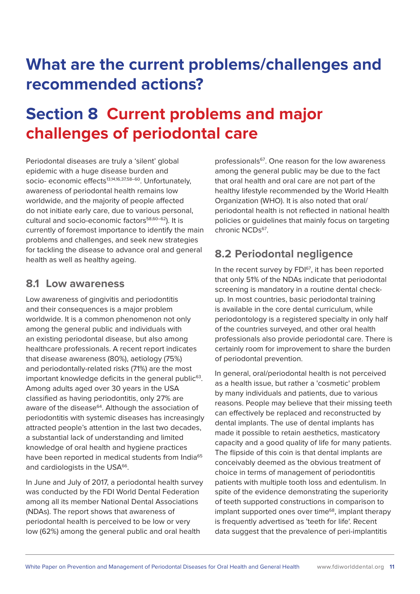## **What are the current problems/challenges and recommended actions?**

## **Section 8 Current problems and major challenges of periodontal care**

Periodontal diseases are truly a 'silent' global epidemic with a huge disease burden and socio- economic effects<sup>13,14,16,37,58–60</sup>. Unfortunately, awareness of periodontal health remains low worldwide, and the majority of people affected do not initiate early care, due to various personal, cultural and socio-economic factors<sup>58,60-62</sup>). It is currently of foremost importance to identify the main problems and challenges, and seek new strategies for tackling the disease to advance oral and general health as well as healthy ageing.

#### **8.1 Low awareness**

Low awareness of gingivitis and periodontitis and their consequences is a major problem worldwide. It is a common phenomenon not only among the general public and individuals with an existing periodontal disease, but also among healthcare professionals. A recent report indicates that disease awareness (80%), aetiology (75%) and periodontally-related risks (71%) are the most important knowledge deficits in the general public<sup>63</sup>. Among adults aged over 30 years in the USA classified as having periodontitis, only 27% are aware of the disease<sup>64</sup>. Although the association of periodontitis with systemic diseases has increasingly attracted people's attention in the last two decades, a substantial lack of understanding and limited knowledge of oral health and hygiene practices have been reported in medical students from India<sup>65</sup> and cardiologists in the USA<sup>66</sup>.

In June and July of 2017, a periodontal health survey was conducted by the FDI World Dental Federation among all its member National Dental Associations (NDAs). The report shows that awareness of periodontal health is perceived to be low or very low (62%) among the general public and oral health

professionals<sup>67</sup>. One reason for the low awareness among the general public may be due to the fact that oral health and oral care are not part of the healthy lifestyle recommended by the World Health Organization (WHO). It is also noted that oral/ periodontal health is not reflected in national health policies or guidelines that mainly focus on targeting chronic NCDs<sup>67</sup>

#### **8.2 Periodontal negligence**

In the recent survey by FDI<sup>67</sup>, it has been reported that only 51% of the NDAs indicate that periodontal screening is mandatory in a routine dental checkup. In most countries, basic periodontal training is available in the core dental curriculum, while periodontology is a registered specialty in only half of the countries surveyed, and other oral health professionals also provide periodontal care. There is certainly room for improvement to share the burden of periodontal prevention.

In general, oral/periodontal health is not perceived as a health issue, but rather a 'cosmetic' problem by many individuals and patients, due to various reasons. People may believe that their missing teeth can effectively be replaced and reconstructed by dental implants. The use of dental implants has made it possible to retain aesthetics, masticatory capacity and a good quality of life for many patients. The flipside of this coin is that dental implants are conceivably deemed as the obvious treatment of choice in terms of management of periodontitis patients with multiple tooth loss and edentulism. In spite of the evidence demonstrating the superiority of teeth supported constructions in comparison to implant supported ones over time<sup>68</sup>, implant therapy is frequently advertised as 'teeth for life'. Recent data suggest that the prevalence of peri-implantitis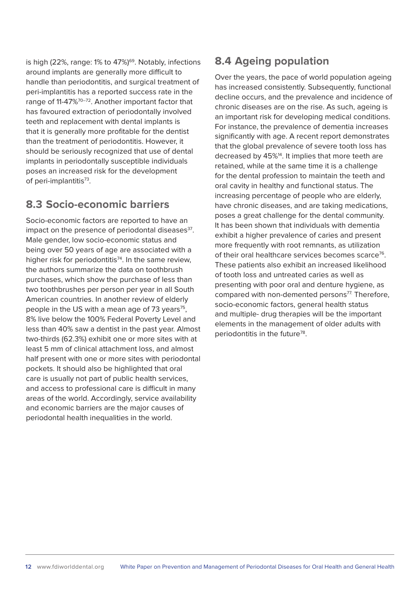is high (22%, range: 1% to 47%)<sup>69</sup>. Notably, infections around implants are generally more difficult to handle than periodontitis, and surgical treatment of peri-implantitis has a reported success rate in the range of 11-47%<sup>70-72</sup>. Another important factor that has favoured extraction of periodontally involved teeth and replacement with dental implants is that it is generally more profitable for the dentist than the treatment of periodontitis. However, it should be seriously recognized that use of dental implants in periodontally susceptible individuals poses an increased risk for the development of peri-implantitis<sup>73</sup>.

#### **8.3 Socio-economic barriers**

Socio-economic factors are reported to have an impact on the presence of periodontal diseases<sup>37</sup>. Male gender, low socio-economic status and being over 50 years of age are associated with a higher risk for periodontitis<sup>74</sup>. In the same review, the authors summarize the data on toothbrush purchases, which show the purchase of less than two toothbrushes per person per year in all South American countries. In another review of elderly people in the US with a mean age of  $73$  years<sup>75</sup>, 8% live below the 100% Federal Poverty Level and less than 40% saw a dentist in the past year. Almost two-thirds (62.3%) exhibit one or more sites with at least 5 mm of clinical attachment loss, and almost half present with one or more sites with periodontal pockets. It should also be highlighted that oral care is usually not part of public health services, and access to professional care is difficult in many areas of the world. Accordingly, service availability and economic barriers are the major causes of periodontal health inequalities in the world.

#### **8.4 Ageing population**

Over the years, the pace of world population ageing has increased consistently. Subsequently, functional decline occurs, and the prevalence and incidence of chronic diseases are on the rise. As such, ageing is an important risk for developing medical conditions. For instance, the prevalence of dementia increases significantly with age. A recent report demonstrates that the global prevalence of severe tooth loss has decreased by 45%<sup>14</sup>. It implies that more teeth are retained, while at the same time it is a challenge for the dental profession to maintain the teeth and oral cavity in healthy and functional status. The increasing percentage of people who are elderly, have chronic diseases, and are taking medications, poses a great challenge for the dental community. It has been shown that individuals with dementia exhibit a higher prevalence of caries and present more frequently with root remnants, as utilization of their oral healthcare services becomes scarce<sup>76</sup>. These patients also exhibit an increased likelihood of tooth loss and untreated caries as well as presenting with poor oral and denture hygiene, as compared with non-demented persons $77$ . Therefore, socio-economic factors, general health status and multiple- drug therapies will be the important elements in the management of older adults with periodontitis in the future<sup>78</sup>.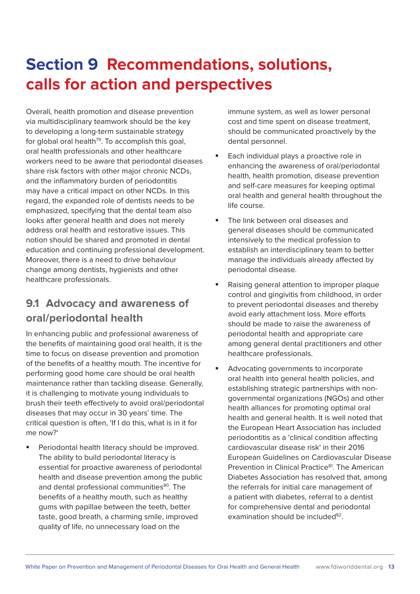## **Section 9 Recommendations, solutions, calls for action and perspectives**

Overall, health promotion and disease prevention via multidisciplinary teamwork should be the key to developing a long-term sustainable strategy for global oral health<sup>79</sup>. To accomplish this goal, oral health professionals and other healthcare workers need to be aware that periodontal diseases share risk factors with other major chronic NCDs, and the inflammatory burden of periodontitis may have a critical impact on other NCDs. In this regard, the expanded role of dentists needs to be emphasized, specifying that the dental team also looks after general health and does not merely address oral health and restorative issues. This notion should be shared and promoted in dental education and continuing professional development. Moreover, there is a need to drive behaviour change among dentists, hygienists and other healthcare professionals.

### **9.1 Advocacy and awareness of oral/periodontal health**

In enhancing public and professional awareness of the benefits of maintaining good oral health, it is the time to focus on disease prevention and promotion of the benefits of a healthy mouth. The incentive for performing good home care should be oral health maintenance rather than tackling disease. Generally, it is challenging to motivate young individuals to brush their teeth effectively to avoid oral/periodontal diseases that may occur in 30 years' time. The critical question is often, 'If I do this, what is in it for me now?'

 Periodontal health literacy should be improved. The ability to build periodontal literacy is essential for proactive awareness of periodontal health and disease prevention among the public and dental professional communities<sup>80</sup>. The benefits of a healthy mouth, such as healthy gums with papillae between the teeth, better taste, good breath, a charming smile, improved quality of life, no unnecessary load on the

immune system, as well as lower personal cost and time spent on disease treatment, should be communicated proactively by the dental personnel.

- Each individual plays a proactive role in enhancing the awareness of oral/periodontal health, health promotion, disease prevention and self-care measures for keeping optimal oral health and general health throughout the life course.
- The link between oral diseases and general diseases should be communicated intensively to the medical profession to establish an interdisciplinary team to better manage the individuals already affected by periodontal disease.
- Raising general attention to improper plaque control and gingivitis from childhood, in order to prevent periodontal diseases and thereby avoid early attachment loss. More efforts should be made to raise the awareness of periodontal health and appropriate care among general dental practitioners and other healthcare professionals.
- Advocating governments to incorporate oral health into general health policies, and establishing strategic partnerships with nongovernmental organizations (NGOs) and other health alliances for promoting optimal oral health and general health. It is well noted that the European Heart Association has included periodontitis as a 'clinical condition affecting cardiovascular disease risk' in their 2016 European Guidelines on Cardiovascular Disease Prevention in Clinical Practice<sup>81</sup>. The American Diabetes Association has resolved that, among the referrals for initial care management of a patient with diabetes, referral to a dentist for comprehensive dental and periodontal examination should be included $82$ .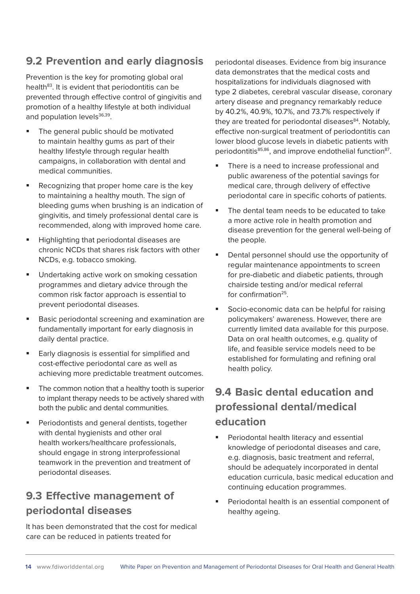#### **9.2 Prevention and early diagnosis**

Prevention is the key for promoting global oral health<sup>83</sup>. It is evident that periodontitis can be prevented through effective control of gingivitis and promotion of a healthy lifestyle at both individual and population levels<sup>36,39</sup>.

- The general public should be motivated to maintain healthy gums as part of their healthy lifestyle through regular health campaigns, in collaboration with dental and medical communities.
- Recognizing that proper home care is the key to maintaining a healthy mouth. The sign of bleeding gums when brushing is an indication of gingivitis, and timely professional dental care is recommended, along with improved home care.
- Highlighting that periodontal diseases are chronic NCDs that shares risk factors with other NCDs, e.g. tobacco smoking.
- Undertaking active work on smoking cessation programmes and dietary advice through the common risk factor approach is essential to prevent periodontal diseases.
- Basic periodontal screening and examination are fundamentally important for early diagnosis in daily dental practice.
- **Early diagnosis is essential for simplified and** cost-effective periodontal care as well as achieving more predictable treatment outcomes.
- The common notion that a healthy tooth is superior to implant therapy needs to be actively shared with both the public and dental communities.
- Periodontists and general dentists, together with dental hygienists and other oral health workers/healthcare professionals, should engage in strong interprofessional teamwork in the prevention and treatment of periodontal diseases.

### **9.3 Effective management of periodontal diseases**

It has been demonstrated that the cost for medical care can be reduced in patients treated for

periodontal diseases. Evidence from big insurance data demonstrates that the medical costs and hospitalizations for individuals diagnosed with type 2 diabetes, cerebral vascular disease, coronary artery disease and pregnancy remarkably reduce by 40.2%, 40.9%, 10.7%, and 73.7% respectively if they are treated for periodontal diseases<sup>84</sup>. Notably, effective non-surgical treatment of periodontitis can lower blood glucose levels in diabetic patients with periodontitis<sup>85,86</sup>, and improve endothelial function<sup>87</sup>.

- There is a need to increase professional and public awareness of the potential savings for medical care, through delivery of effective periodontal care in specific cohorts of patients.
- The dental team needs to be educated to take a more active role in health promotion and disease prevention for the general well-being of the people.
- Dental personnel should use the opportunity of regular maintenance appointments to screen for pre-diabetic and diabetic patients, through chairside testing and/or medical referral for confirmation $25$ .
- Socio-economic data can be helpful for raising policymakers' awareness. However, there are currently limited data available for this purpose. Data on oral health outcomes, e.g. quality of life, and feasible service models need to be established for formulating and refining oral health policy.

### **9.4 Basic dental education and professional dental/medical education**

- Periodontal health literacy and essential knowledge of periodontal diseases and care, e.g. diagnosis, basic treatment and referral, should be adequately incorporated in dental education curricula, basic medical education and continuing education programmes.
- Periodontal health is an essential component of healthy ageing.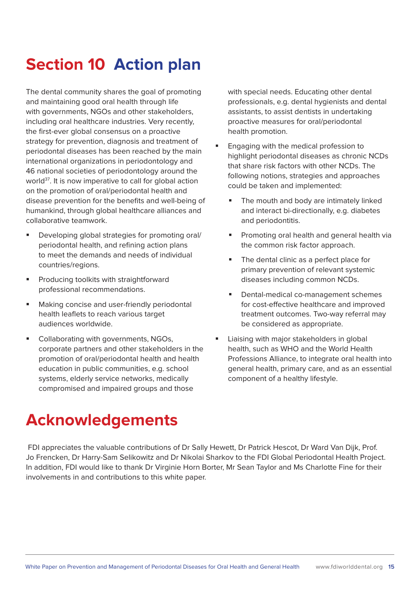## **Section 10 Action plan**

The dental community shares the goal of promoting and maintaining good oral health through life with governments, NGOs and other stakeholders, including oral healthcare industries. Very recently, the first-ever global consensus on a proactive strategy for prevention, diagnosis and treatment of periodontal diseases has been reached by the main international organizations in periodontology and 46 national societies of periodontology around the world<sup>37</sup>. It is now imperative to call for global action on the promotion of oral/periodontal health and disease prevention for the benefits and well-being of humankind, through global healthcare alliances and collaborative teamwork.

- Developing global strategies for promoting oral/ periodontal health, and refining action plans to meet the demands and needs of individual countries/regions.
- Producing toolkits with straightforward professional recommendations.
- Making concise and user-friendly periodontal health leaflets to reach various target audiences worldwide.
- Collaborating with governments, NGOs, corporate partners and other stakeholders in the promotion of oral/periodontal health and health education in public communities, e.g. school systems, elderly service networks, medically compromised and impaired groups and those

with special needs. Educating other dental professionals, e.g. dental hygienists and dental assistants, to assist dentists in undertaking proactive measures for oral/periodontal health promotion.

- **Engaging with the medical profession to** highlight periodontal diseases as chronic NCDs that share risk factors with other NCDs. The following notions, strategies and approaches could be taken and implemented:
	- The mouth and body are intimately linked and interact bi-directionally, e.g. diabetes and periodontitis.
	- Promoting oral health and general health via the common risk factor approach.
	- The dental clinic as a perfect place for primary prevention of relevant systemic diseases including common NCDs.
	- Dental-medical co-management schemes for cost-effective healthcare and improved treatment outcomes. Two-way referral may be considered as appropriate.
- Liaising with major stakeholders in global health, such as WHO and the World Health Professions Alliance, to integrate oral health into general health, primary care, and as an essential component of a healthy lifestyle.

### **Acknowledgements**

 FDI appreciates the valuable contributions of Dr Sally Hewett, Dr Patrick Hescot, Dr Ward Van Dijk, Prof. Jo Frencken, Dr Harry-Sam Selikowitz and Dr Nikolai Sharkov to the FDI Global Periodontal Health Project. In addition, FDI would like to thank Dr Virginie Horn Borter, Mr Sean Taylor and Ms Charlotte Fine for their involvements in and contributions to this white paper.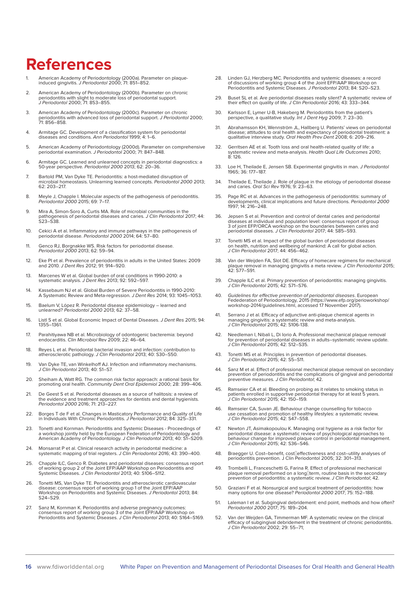### **References**

- 1. American Academy of Periodontology (2000a). Parameter on plaque-induced gingivitis. J Periodontol 2000; 71: 851–852.
- 2. American Academy of Periodontology (2000b). Parameter on chronic periodontitis with slight to moderate loss of periodontal support. J Periodontol 2000; 71: 853–855.
- 3. American Academy of Periodontology (2000c). Parameter on chronic periodontitis with advanced loss of periodontal support. J Periodontol 2000; 71: 856–858.
- 4. Armitage GC. Development of a classification system for periodontal diseases and conditions. Ann Periodontol 1999; 4: 1–6.
- 5. American Academy of Periodontology (2000d). Parameter on comprehensive periodontal examination. J Periodontol 2000; 71: 847–848.
- 6. Armitage GC. Learned and unlearned concepts in periodontal diagnostics: a 50-year perspective. Periodontol 2000 2013; 62: 20–36.
- 7. Bartold PM, Van Dyke TE. Periodontitis: a host-mediated disruption of microbial homeostasis. Unlearning learned concepts. Periodontol 2000 2013; 62: 203–217.
- 8. Meyle J, Chapple I. Molecular aspects of the pathogenesis of periodontitis. Periodontol 2000 2015; 69: 7–17.
- 9. Mira A, Simon-Soro A, Curtis MA. Role of microbial communities in the pathogenesis of periodontal diseases and caries. J Clin Periodontol 2017; 44: S23–S38.
- 10. Cekici A et al. Inflammatory and immune pathways in the pathogenesis of periodontal disease. Periodontol 2000 2014; 64: 57–80.
- 11. Genco RJ, Borgnakke WS. Risk factors for periodontal disease. Periodontol 2000 2013; 62: 59–94.
- 12. Eke PI et al. Prevalence of periodontitis in adults in the United States: 2009 and 2010. J Dent Res 2012; 91: 914–920.
- 13. Marcenes W et al. Global burden of oral conditions in 1990-2010: a systematic analysis. J Dent Res 2013; 92: 592–597.
- 14. Kassebaum NJ et al. Global Burden of Severe Periodontitis in 1990-2010: A Systematic Review and Meta-regression. J Dent Res 2014; 93: 1045–1053.
- 15. Baelum V, López R. Periodontal disease epidemiology learned and unlearned? Periodontol 2000 2013; 62: 37–58.
- 16. Listl S et al. Global Economic Impact of Dental Diseases. J Dent Res 2015; 94: 1355–1361.
- 17. Parahitiyawa NB et al. Microbiology of odontogenic bacteremia: beyond endocarditis. Clin Microbiol Rev 2009; 22: 46–64.
- 18. Reyes L et al. Periodontal bacterial invasion and infection: contribution to atherosclerotic pathology. J Clin Periodontol 2013; 40: S30–S50.
- 19. Van Dyke TE, van Winkelhoff AJ. Infection and inflammatory mechanisms. J Clin Periodontol 2013; 40: S1–S7.
- 20. Sheiham A, Watt RG. The common risk factor approach: a rational basis for promoting oral health. Community Dent Oral Epidemiol 2000; 28: 399–406.
- 21. De Geest S et al. Periodontal diseases as a source of halitosis: a review of the evidence and treatment approaches for dentists and dental hygienists.<br>*Periodontol 2000* 2016; 71: 213–227.
- 22. Borges T de F et al. Changes in Masticatory Performance and Quality of Life in Individuals With Chronic Periodontitis. J Periodontol 2012; 84: 325–331.
- 23. Tonetti and Kornman. Periodontitis and Systemic Diseases Proceedings of<br>a workshop jointly held by the European Federation of Periodontology and<br>American Academy of Periodontology. J Clin Periodontol 2013; 40: S1–S20
- 24. Monsarrat P et al. Clinical research activity in periodontal medicine: a systematic mapping of trial registers. J Clin Periodontol 2016; 43: 390–400.
- 25. Chapple ILC, Genco R. Diabetes and periodontal diseases: consensus report of working group 2 of the Joint EFP/AAP Workshop on Periodontitis and Systemic Diseases. J Clin Periodontol 2013; 40: S106–S112.
- 26. Tonetti MS, Van Dyke TE. Periodontitis and atherosclerotic cardiovascular disease: consensus report of working group 1 of the Joint EFP/AAP<br>Workshop on Periodontitis and Systemic Diseases. *J Periodontol* 2013; 84: S24–S29.
- 27. Sanz M, Kornman K. Periodontitis and adverse pregnancy outcomes: consensus report of working group 3 of the Joint EFP/AAP Workshop on Periodontitis and Systemic Diseases. J Clin Periodontol 2013; 40: S164–S169.
- 28. Linden GJ, Herzberg MC. Periodontitis and systemic diseases: a record<br>of discussions of working group 4 of the Joint EFP/AAP Workshop on<br>Periodontitis and Systemic Diseases. J Periodontol 2013; 84: S20–S23.
- 29. Buset SL et al. Are periodontal diseases really silent? A systematic review of their effect on quality of life. J Clin Periodontol 2016; 43: 333–344.
- 30. Karlsson E, Lymer U-B, Hakeberg M. Periodontitis from the patient's perspective, a qualitative study. Int J Dent Hyg 2009; 7: 23–30.
- 31. Abrahamsson KH, Wennström JL, Hallberg U. Patients' views on periodontal disease; attitudes to oral health and expectancy of periodontal treatment: a qualitative interview study. Oral Health Prev Dent 2008; 6: 209–216.
- 32. Gerritsen AE et al. Tooth loss and oral health-related quality of life: a systematic review and meta-analysis. Health Qual Life Outcomes 2010; 8: 126.
- 33. Loe H, Theilade E, Jensen SB. Experimental gingivitis in man. J Periodontol 1965; 36: 177–187.
- 34. Theilade E, Theilade J. Role of plaque in the etiology of periodontal disease<br>and caries. Oral Sci Rev 1976; 9: 23–63.
- 35. Page RC et al. Advances in the pathogenesis of periodontitis: summary of developments, clinical implications and future directions. Periodontol 2000 1997; 14: 216–248.
- 36. Jepsen S et al. Prevention and control of dental caries and periodontal diseases at individual and population level: consensus report of group<br>3 of joint EFP/ORCA workshop on the boundaries between caries and<br>periodontal diseases. *J Clin Periodontol* 2017; 44: S85–S93.
- 37. Tonetti MS et al. Impact of the global burden of periodontal diseases on health, nutrition and wellbeing of mankind: A call for global action. J Clin Periodontol 2017; 44: 456–462.
- 38. Van der Weijden FA, Slot DE. Efficacy of homecare regimens for mechanical plaque removal in managing gingivitis a meta review. *J Clin Periodontol* 2015;<br>42: S77–S91.
- 39. Chapple ILC et al. Primary prevention of periodontitis: managing gingivitis. J Clin Periodontol 2015; 42: S71–S76.
- 40. *Guidelines for effective prevention of periodontal diseases.* European<br>Fedederation of Periodontology, 2015 (https://www.efp.org/perioworkshop/<br>workshop-2014/guidelines.html, accessed 17 November 2017).
- 41. Serrano J et al. Efficacy of adjunctive anti-plaque chemical agents in managing gingivitis: a systematic review and meta-analysis. J Clin Periodontol 2015; 42: S106-138.
- 42. Needleman I, Nibali L, Di Iorio A. Professional mechanical plaque removal for prevention of periodontal diseases in adults–systematic review update. J Clin Periodontol 2015; 42: S12–S35.
- 43. Tonetti MS et al. Principles in prevention of periodontal diseases. J Clin Periodontol 2015; 42: S5–S11.
- 44. Sanz M et al. Effect of professional mechanical plaque removal on secondary prevention of periodontitis and the complications of gingival and periodontal preventive measures. J Clin Periodontol; 42.
- 45. Ramseier CA et al. Bleeding on probing as it relates to smoking status in patients enrolled in supportive periodontal therapy for at least 5 years. J Clin Periodontol 2015; 42: 150–159.
- 46. Ramseier CA, Suvan JE. Behaviour change counselling for tobacco use cessation and promotion of healthy lifestyles: a systematic review. J Clin Periodontol 2015; 42: S47–S58.
- 47. Newton JT, Asimakopoulou K. Managing oral hygiene as a risk factor for<br>periodontal disease: a systematic review of psychological approaches to<br>behaviour change for improved plaque control in periodontal management.<br>J C
- 48. Braegger U. Cost–benefit, cost effectiveness and cost–utility analyses of periodontitis prevention. J Clin Periodontol 2005; 32: 301–313.
- 49. Trombelli L, Franceschetti G, Farina R. Effect of professional mechanical plaque removal performed on a long–term, routine basis in the secondary prevention of periodontitis: a systematic review. J Clin Periodontol; 42.
- 50. Graziani F et al. Nonsurgical and surgical treatment of periodontitis: how many options for one disease? Periodontol 2000 2017; 75: 152–188.
- 51. Laleman I et al. Subgingival debridement: end point, methods and how often? Periodontol 2000 2017; 75: 189–204.
- 52. Van der Weijden GA, Timmerman MF. A systematic review on the clinical<br>efficacy of subgingival debridement in the treatment of chronic periodontitis.<br>J Clin Periodontol 2002; 29: 55–71;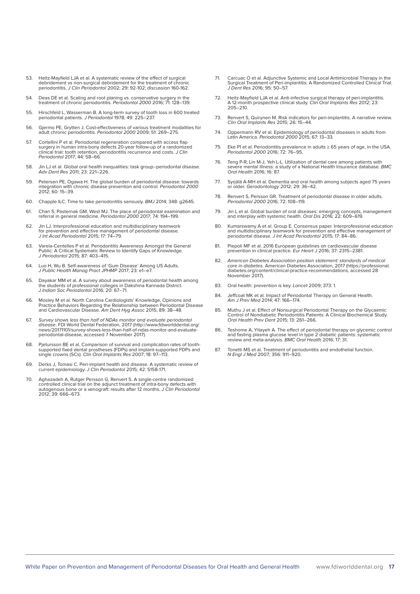- 53. Heitz-Mayfield LJA et al. A systematic review of the effect of surgical debridement vs non-surgical debridement for the treatment of chronic<br>periodontitis. *J Clin Periodontol* 2002; 29: 92-102; discussion 160-162.
- 54. Deas DE et al. Scaling and root planing vs. conservative surgery in the treatment of chronic periodontitis. Periodorotol 2000 2016; 71: 128–139.
- 55. Hirschfeld L, Wasserman B. A long-term survey of tooth loss in 600 treated periodontal patients. J Periodontol 1978; 49: 225–237.
- 56. Gjermo PE, Grytten J. Cost-effectiveness of various treatment modalities for adult chronic periodontitis. Periodontol 2000 2009; 51: 269–275.
- 57. Cortellini P et al. Periodontal regeneration compared with access flap<br>surgery in human intra-bony defects 20-year follow-up of a randomized<br>clinical trial: tooth retention, periodontitis recurrence and costs. *J Clin* Periodontol 2017; 44: 58–66.
- 58. Jin LJ et al. Global oral health inequalities: task group--periodontal disease. Adv Dent Res 2011; 23: 221–226.
- 59. Petersen PE, Ogawa H. The global burden of periodontal disease: towards integration with chronic disease prevention and control. *Periodontol 2000*<br>2012; 60: 15–39.
- 60. Chapple ILC. Time to take periodontitis seriously. BMJ 2014; 348: g2645.
- 61. Chan S, Pasternak GM, West MJ. The place of periodontal examination and referral in general medicine. Periodontol 2000 2017; 74: 194–199.
- 62. Jin LJ. Interprofessional education and multidisciplinary teamwork for prevention and effective management of periodontal disease. J Int Acad Periodontol 2015; 17: 74–79.
- 63. Varela-Centelles P et al. Periodontitis Awareness Amongst the General Public: A Critical Systematic Review to Identify Gaps of Knowledge. J Periodontol 2015; 87: 403–415.
- 64. Luo H, Wu B. Self-awareness of 'Gum Disease' Among US Adults. J Public Health Manag Pract JPHMP 2017; 23: e1–e7.
- 65. Dayakar MM et al. A survey about awareness of periodontal health among the students of professional colleges in Dakshina Kannada District.<br>*J Indian Soc Periodontol* 2016; 20: 67–71.
- 66. Mosley M et al. North Carolina Cardiologists' Knowledge, Opinions and Practice Behaviors Regarding the Relationship between Periodontal Disease and Cardiovascular Disease. Am Dent Hyg Assoc 2015; 89: 38-48.
- 67. Survey shows less than half of NDAs monitor and evaluate periodontal disease. FDI World Dental Federation, 2017 (http://www.fdiworlddental.org/ news/20171101/survey-shows-less-than-half-of-ndas-monitor-and-evaluate-periodontal-disease, accessed 7 November 2017).
- 68. Pjetursson BE et al. Comparison of survival and complication rates of toothsupported fixed dental prostheses (FDPs) and implant-supported FDPs and single crowns (SCs). Clin Oral Implants Res 2007; 18: 97–113.
- 69. Derks J, Tomasi C. Peri-implant health and disease. A systematic review of current epidemiology. J Clin Periodontol 2015; 42: S158-171.
- 70. Aghazadeh A, Rutger Persson G, Renvert S. A single-centre randomized controlled clinical trial on the adjunct treatment of intra-bony defects with autogenous bone or a xenograft: results after 12 months. *J Clin Period*
- 71. Carcuac O et al. Adjunctive Systemic and Local Antimicrobial Therapy in the Surgical Treatment of Peri-implantitis: A Randomized Controlled Clinical Trial. J Dent Res 2016; 95: 50–57.
- 72. Heitz-Mayfield LJA et al. Anti-infective surgical therapy of peri-implantitis. A 12-month prospective clinical study. Clin Oral Implants Res 2012; 23: 205–210.
- 73. Renvert S, Quirynen M. Risk indicators for peri-implantitis. A narrative review. Clin Oral Implants Res 2015; 26: 15–44.
- 74. Oppermann RV et al. Epidemiology of periodontal diseases in adults from<br>Latin America. Periodontol 2000 2015; 67: 13–33.
- 75. Eke PI et al. Periodontitis prevalence in adults ≥ 65 years of age, in the USA. Periodontol 2000 2016; 72: 76–95.
- 76. Teng P-R, Lin M-J, Yeh L-L. Utilization of dental care among patients with severe mental illness: a study of a National Health Insurance database. BMC Oral Health 2016; 16: 87.
- 77. Syrjälä A-MH et al. Dementia and oral health among subjects aged 75 years or older. Gerodontology 2012; 29: 36–42.
- 78. Renvert S, Persson GR. Treatment of periodontal disease in older adults. Periodontol 2000 2016; 72: 108–119.
- 79. Jin L et al. Global burden of oral diseases: emerging concepts, management and interplay with systemic health. Oral Dis 2016; 22: 609–619.
- 80. Kumarswamy A et al. Group E. Consensus paper. Interprofessional education and multidisciplinary teamwork for prevention and effective management of periodontal disease. J Int Acad Periodontol 2015; 17: 84–86.
- 81. Piepoli MF et al. 2016 European guidelines on cardiovascular disease prevention in clinical practice. Eur Heart J 2016; 37: 2315–2381.
- 82. American Diabetes Association position statement: standards of medical care in diabetes. American Diabetes Association, 2017 (https://professional. diabetes.org/content/clinical-practice-recommendations, accessed 28 November 2017).
- 83. Oral health: prevention is key. Lancet 2009: 373: 1.
- 84. Jeffcoat MK et al. Impact of Periodontal Therapy on General Health.<br>Am J Prev Med 2014; 47: 166–174.
- 85. Muthu J et al. Effect of Nonsurgical Periodontal Therapy on the Glycaemic Control of Nondiabetic Periodontitis Patients: A Clinical Biochemical Study. Oral Health Prev Dent 2015; 13: 261–266.
- 86. Teshome A, Yitayeh A. The effect of periodontal therapy on glycemic control and fasting plasma glucose level in type 2 diabetic patients: systematic review and meta-analysis. BMC Oral Health 2016; 17: 31.
- 87. Tonetti MS et al. Treatment of periodontitis and endothelial function.<br>
N Engl J Med 2007; 356: 911–920.